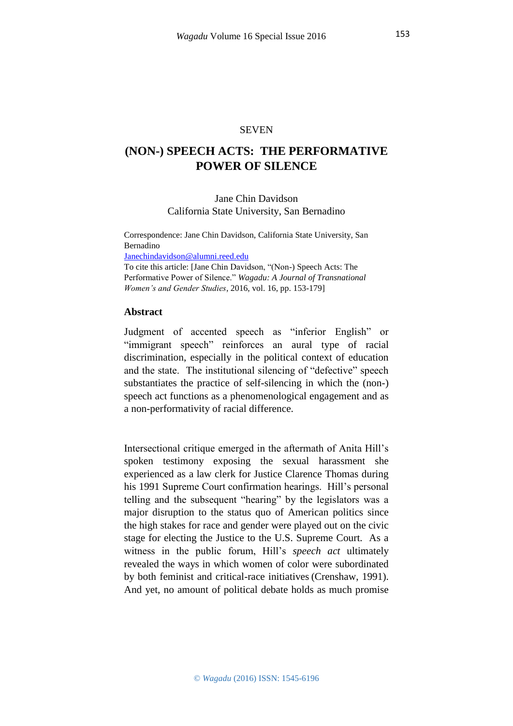### **SEVEN**

# **(NON-) SPEECH ACTS: THE PERFORMATIVE POWER OF SILENCE**

## Jane Chin Davidson California State University, San Bernadino

Correspondence: Jane Chin Davidson, California State University, San Bernadino

[Janechindavidson@alumni.reed.edu](javascript:void(window.open()

To cite this article: [Jane Chin Davidson, "(Non-) Speech Acts: The Performative Power of Silence." *Wagadu: A Journal of Transnational Women's and Gender Studies*, 2016, vol. 16, pp. 153-179]

### **Abstract**

Judgment of accented speech as "inferior English" or "immigrant speech" reinforces an aural type of racial discrimination, especially in the political context of education and the state. The institutional silencing of "defective" speech substantiates the practice of self-silencing in which the (non-) speech act functions as a phenomenological engagement and as a non-performativity of racial difference.

Intersectional critique emerged in the aftermath of Anita Hill's spoken testimony exposing the sexual harassment she experienced as a law clerk for Justice Clarence Thomas during his 1991 Supreme Court confirmation hearings. Hill's personal telling and the subsequent "hearing" by the legislators was a major disruption to the status quo of American politics since the high stakes for race and gender were played out on the civic stage for electing the Justice to the U.S. Supreme Court. As a witness in the public forum, Hill's *speech act* ultimately revealed the ways in which women of color were subordinated by both feminist and critical-race initiatives (Crenshaw, 1991). And yet, no amount of political debate holds as much promise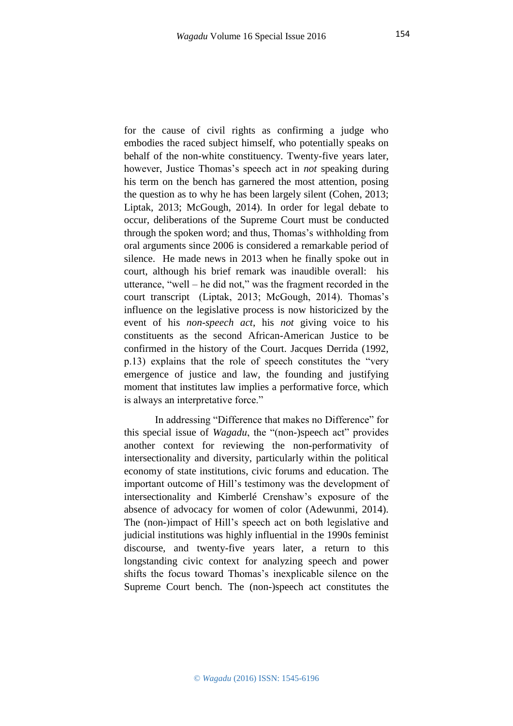for the cause of civil rights as confirming a judge who embodies the raced subject himself, who potentially speaks on behalf of the non-white constituency. Twenty-five years later, however, Justice Thomas's speech act in *not* speaking during his term on the bench has garnered the most attention, posing the question as to why he has been largely silent (Cohen, 2013; Liptak, 2013; McGough, 2014). In order for legal debate to occur, deliberations of the Supreme Court must be conducted through the spoken word; and thus, Thomas's withholding from oral arguments since 2006 is considered a remarkable period of silence. He made news in 2013 when he finally spoke out in court, although his brief remark was inaudible overall: his utterance, "well – he did not," was the fragment recorded in the court transcript (Liptak, 2013; McGough, 2014). Thomas's influence on the legislative process is now historicized by the event of his *non-speech act*, his *not* giving voice to his constituents as the second African-American Justice to be confirmed in the history of the Court. Jacques Derrida (1992, p.13) explains that the role of speech constitutes the "very emergence of justice and law, the founding and justifying moment that institutes law implies a performative force, which is always an interpretative force."

In addressing "Difference that makes no Difference" for this special issue of *Wagadu*, the "(non-)speech act" provides another context for reviewing the non-performativity of intersectionality and diversity, particularly within the political economy of state institutions, civic forums and education. The important outcome of Hill's testimony was the development of intersectionality and Kimberlé Crenshaw's exposure of the absence of advocacy for women of color (Adewunmi, 2014). The (non-)impact of Hill's speech act on both legislative and judicial institutions was highly influential in the 1990s feminist discourse, and twenty-five years later, a return to this longstanding civic context for analyzing speech and power shifts the focus toward Thomas's inexplicable silence on the Supreme Court bench. The (non-)speech act constitutes the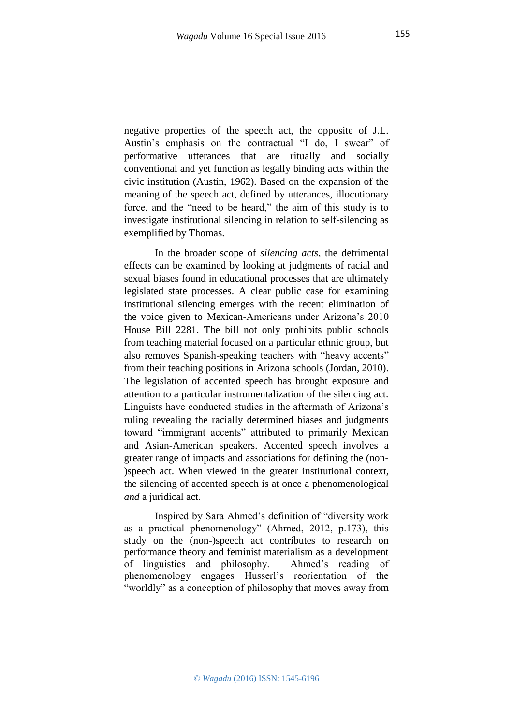negative properties of the speech act, the opposite of J.L. Austin's emphasis on the contractual "I do, I swear" of performative utterances that are ritually and socially conventional and yet function as legally binding acts within the civic institution (Austin, 1962). Based on the expansion of the meaning of the speech act, defined by utterances, illocutionary force, and the "need to be heard," the aim of this study is to investigate institutional silencing in relation to self-silencing as exemplified by Thomas.

In the broader scope of *silencing acts*, the detrimental effects can be examined by looking at judgments of racial and sexual biases found in educational processes that are ultimately legislated state processes. A clear public case for examining institutional silencing emerges with the recent elimination of the voice given to Mexican-Americans under Arizona's 2010 House Bill 2281. The bill not only prohibits public schools from teaching material focused on a particular ethnic group, but also removes Spanish-speaking teachers with "heavy accents" from their teaching positions in Arizona schools (Jordan, 2010). The legislation of accented speech has brought exposure and attention to a particular instrumentalization of the silencing act. Linguists have conducted studies in the aftermath of Arizona's ruling revealing the racially determined biases and judgments toward "immigrant accents" attributed to primarily Mexican and Asian-American speakers. Accented speech involves a greater range of impacts and associations for defining the (non- )speech act. When viewed in the greater institutional context, the silencing of accented speech is at once a phenomenological *and* a juridical act.

Inspired by Sara Ahmed's definition of "diversity work as a practical phenomenology" (Ahmed, 2012, p.173), this study on the (non-)speech act contributes to research on performance theory and feminist materialism as a development of linguistics and philosophy. Ahmed's reading of phenomenology engages Husserl's reorientation of the "worldly" as a conception of philosophy that moves away from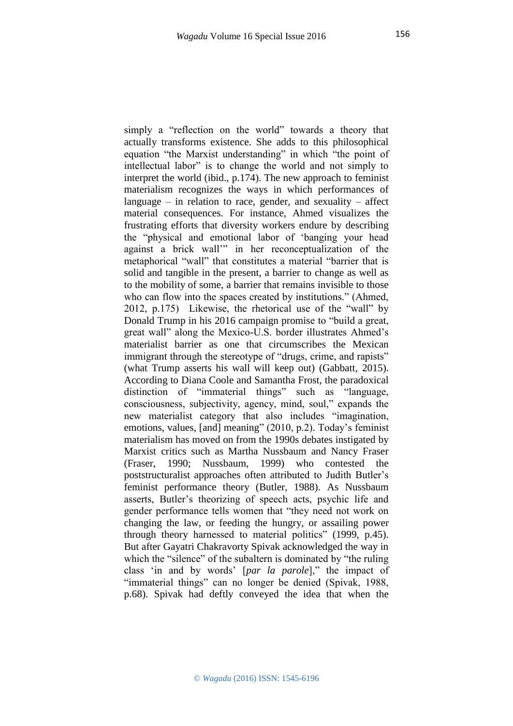simply a "reflection on the world" towards a theory that actually transforms existence. She adds to this philosophical equation "the Marxist understanding" in which "the point of intellectual labor" is to change the world and not simply to interpret the world (ibid., p.174). The new approach to feminist materialism recognizes the ways in which performances of language – in relation to race, gender, and sexuality – affect material consequences. For instance, Ahmed visualizes the frustrating efforts that diversity workers endure by describing the "physical and emotional labor of 'banging your head against a brick wall'" in her reconceptualization of the metaphorical "wall" that constitutes a material "barrier that is solid and tangible in the present, a barrier to change as well as to the mobility of some, a barrier that remains invisible to those who can flow into the spaces created by institutions." (Ahmed, 2012, p.175) Likewise, the rhetorical use of the "wall" by Donald Trump in his 2016 campaign promise to "build a great, great wall" along the Mexico-U.S. border illustrates Ahmed's materialist barrier as one that circumscribes the Mexican immigrant through the stereotype of "drugs, crime, and rapists" (what Trump asserts his wall will keep out) (Gabbatt*,* 2015). According to Diana Coole and Samantha Frost, the paradoxical distinction of "immaterial things" such as "language, consciousness, subjectivity, agency, mind, soul," expands the new materialist category that also includes "imagination, emotions, values, [and] meaning" (2010, p.2). Today's feminist materialism has moved on from the 1990s debates instigated by Marxist critics such as Martha Nussbaum and Nancy Fraser (Fraser, 1990; Nussbaum, 1999) who contested the poststructuralist approaches often attributed to Judith Butler's feminist performance theory (Butler, 1988). As Nussbaum asserts, Butler's theorizing of speech acts, psychic life and gender performance tells women that "they need not work on changing the law, or feeding the hungry, or assailing power through theory harnessed to material politics" (1999, p.45). But after Gayatri Chakravorty Spivak acknowledged the way in which the "silence" of the subaltern is dominated by "the ruling" class 'in and by words' [*par la parole*]," the impact of "immaterial things" can no longer be denied (Spivak, 1988, p.68). Spivak had deftly conveyed the idea that when the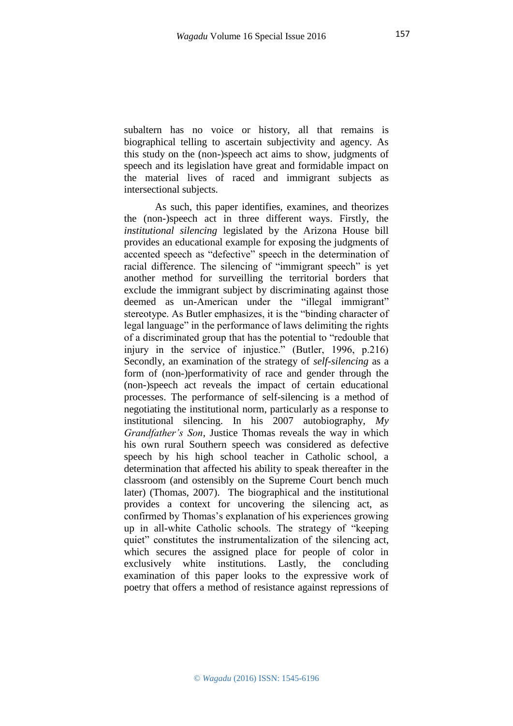subaltern has no voice or history, all that remains is biographical telling to ascertain subjectivity and agency. As this study on the (non-)speech act aims to show, judgments of speech and its legislation have great and formidable impact on the material lives of raced and immigrant subjects as intersectional subjects.

As such, this paper identifies, examines, and theorizes the (non-)speech act in three different ways. Firstly, the *institutional silencing* legislated by the Arizona House bill provides an educational example for exposing the judgments of accented speech as "defective" speech in the determination of racial difference. The silencing of "immigrant speech" is yet another method for surveilling the territorial borders that exclude the immigrant subject by discriminating against those deemed as un-American under the "illegal immigrant" stereotype. As Butler emphasizes, it is the "binding character of legal language" in the performance of laws delimiting the rights of a discriminated group that has the potential to "redouble that injury in the service of injustice." (Butler, 1996, p.216) Secondly, an examination of the strategy of *self-silencing* as a form of (non-)performativity of race and gender through the (non-)speech act reveals the impact of certain educational processes. The performance of self-silencing is a method of negotiating the institutional norm, particularly as a response to institutional silencing. In his 2007 autobiography, *My Grandfather's Son*, Justice Thomas reveals the way in which his own rural Southern speech was considered as defective speech by his high school teacher in Catholic school, a determination that affected his ability to speak thereafter in the classroom (and ostensibly on the Supreme Court bench much later) (Thomas, 2007). The biographical and the institutional provides a context for uncovering the silencing act, as confirmed by Thomas's explanation of his experiences growing up in all-white Catholic schools. The strategy of "keeping quiet" constitutes the instrumentalization of the silencing act, which secures the assigned place for people of color in exclusively white institutions. Lastly, the concluding examination of this paper looks to the expressive work of poetry that offers a method of resistance against repressions of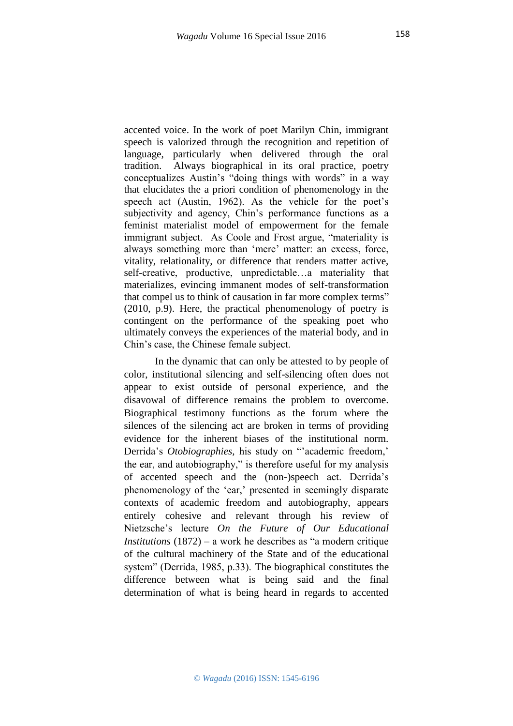accented voice. In the work of poet Marilyn Chin, immigrant speech is valorized through the recognition and repetition of language, particularly when delivered through the oral tradition. Always biographical in its oral practice, poetry conceptualizes Austin's "doing things with words" in a way that elucidates the a priori condition of phenomenology in the speech act (Austin, 1962). As the vehicle for the poet's subjectivity and agency, Chin's performance functions as a feminist materialist model of empowerment for the female immigrant subject. As Coole and Frost argue, "materiality is always something more than 'mere' matter: an excess, force, vitality, relationality, or difference that renders matter active, self-creative, productive, unpredictable…a materiality that materializes, evincing immanent modes of self-transformation that compel us to think of causation in far more complex terms" (2010, p.9). Here, the practical phenomenology of poetry is contingent on the performance of the speaking poet who ultimately conveys the experiences of the material body, and in Chin's case, the Chinese female subject.

In the dynamic that can only be attested to by people of color, institutional silencing and self-silencing often does not appear to exist outside of personal experience, and the disavowal of difference remains the problem to overcome. Biographical testimony functions as the forum where the silences of the silencing act are broken in terms of providing evidence for the inherent biases of the institutional norm. Derrida's *Otobiographies,* his study on "'academic freedom,' the ear, and autobiography," is therefore useful for my analysis of accented speech and the (non-)speech act. Derrida's phenomenology of the 'ear,' presented in seemingly disparate contexts of academic freedom and autobiography, appears entirely cohesive and relevant through his review of Nietzsche's lecture *On the Future of Our Educational Institutions* (1872) – a work he describes as "a modern critique of the cultural machinery of the State and of the educational system" (Derrida, 1985, p.33). The biographical constitutes the difference between what is being said and the final determination of what is being heard in regards to accented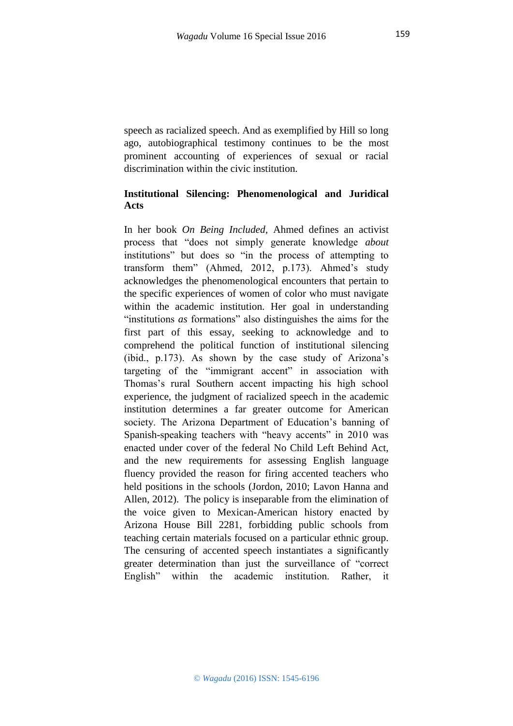speech as racialized speech. And as exemplified by Hill so long ago, autobiographical testimony continues to be the most prominent accounting of experiences of sexual or racial discrimination within the civic institution.

# **Institutional Silencing: Phenomenological and Juridical Acts**

In her book *On Being Included,* Ahmed defines an activist process that "does not simply generate knowledge *about*  institutions" but does so "in the process of attempting to transform them" (Ahmed, 2012, p.173). Ahmed's study acknowledges the phenomenological encounters that pertain to the specific experiences of women of color who must navigate within the academic institution. Her goal in understanding "institutions *as* formations" also distinguishes the aims for the first part of this essay, seeking to acknowledge and to comprehend the political function of institutional silencing (ibid., p.173). As shown by the case study of Arizona's targeting of the "immigrant accent" in association with Thomas's rural Southern accent impacting his high school experience, the judgment of racialized speech in the academic institution determines a far greater outcome for American society. The Arizona Department of Education's banning of Spanish-speaking teachers with "heavy accents" in 2010 was enacted under cover of the federal No Child Left Behind Act, and the new requirements for assessing English language fluency provided the reason for firing accented teachers who held positions in the schools (Jordon, 2010; Lavon Hanna and Allen, 2012). The policy is inseparable from the elimination of the voice given to Mexican-American history enacted by Arizona House Bill 2281, forbidding public schools from teaching certain materials focused on a particular ethnic group. The censuring of accented speech instantiates a significantly greater determination than just the surveillance of "correct English" within the academic institution. Rather, it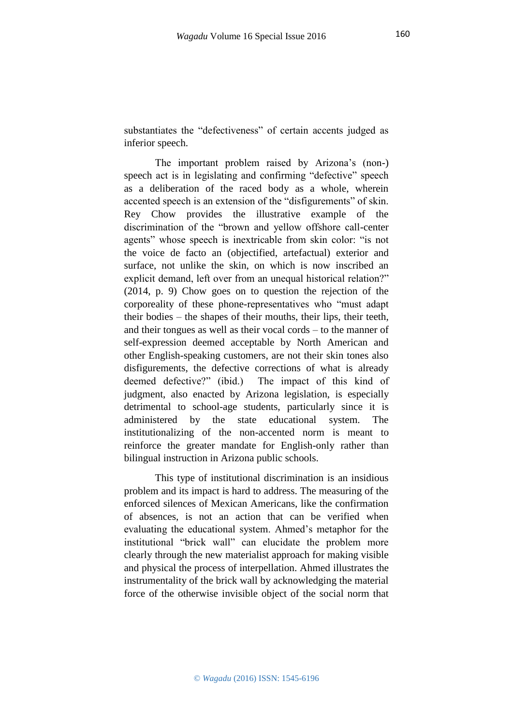substantiates the "defectiveness" of certain accents judged as inferior speech.

The important problem raised by Arizona's (non-) speech act is in legislating and confirming "defective" speech as a deliberation of the raced body as a whole, wherein accented speech is an extension of the "disfigurements" of skin. Rey Chow provides the illustrative example of the discrimination of the "brown and yellow offshore call-center agents" whose speech is inextricable from skin color: "is not the voice de facto an (objectified, artefactual) exterior and surface, not unlike the skin, on which is now inscribed an explicit demand, left over from an unequal historical relation?" (2014, p. 9) Chow goes on to question the rejection of the corporeality of these phone-representatives who "must adapt their bodies – the shapes of their mouths, their lips, their teeth, and their tongues as well as their vocal cords – to the manner of self-expression deemed acceptable by North American and other English-speaking customers, are not their skin tones also disfigurements, the defective corrections of what is already deemed defective?" (ibid.) The impact of this kind of judgment, also enacted by Arizona legislation, is especially detrimental to school-age students, particularly since it is administered by the state educational system. The institutionalizing of the non-accented norm is meant to reinforce the greater mandate for English-only rather than bilingual instruction in Arizona public schools.

This type of institutional discrimination is an insidious problem and its impact is hard to address. The measuring of the enforced silences of Mexican Americans, like the confirmation of absences, is not an action that can be verified when evaluating the educational system. Ahmed's metaphor for the institutional "brick wall" can elucidate the problem more clearly through the new materialist approach for making visible and physical the process of interpellation. Ahmed illustrates the instrumentality of the brick wall by acknowledging the material force of the otherwise invisible object of the social norm that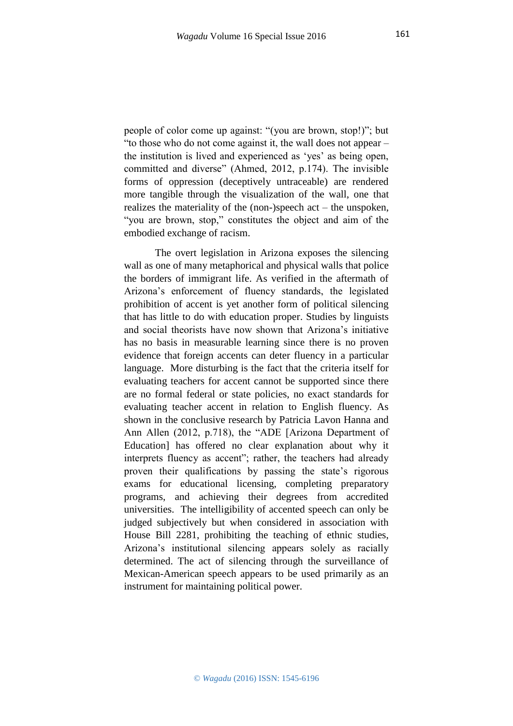people of color come up against: "(you are brown, stop!)"; but "to those who do not come against it, the wall does not appear – the institution is lived and experienced as 'yes' as being open, committed and diverse" (Ahmed, 2012, p.174). The invisible forms of oppression (deceptively untraceable) are rendered more tangible through the visualization of the wall, one that realizes the materiality of the (non-)speech act – the unspoken, "you are brown, stop," constitutes the object and aim of the embodied exchange of racism.

The overt legislation in Arizona exposes the silencing wall as one of many metaphorical and physical walls that police the borders of immigrant life. As verified in the aftermath of Arizona's enforcement of fluency standards, the legislated prohibition of accent is yet another form of political silencing that has little to do with education proper. Studies by linguists and social theorists have now shown that Arizona's initiative has no basis in measurable learning since there is no proven evidence that foreign accents can deter fluency in a particular language. More disturbing is the fact that the criteria itself for evaluating teachers for accent cannot be supported since there are no formal federal or state policies, no exact standards for evaluating teacher accent in relation to English fluency. As shown in the conclusive research by Patricia Lavon Hanna and Ann Allen (2012, p.718), the "ADE [Arizona Department of Education] has offered no clear explanation about why it interprets fluency as accent"; rather, the teachers had already proven their qualifications by passing the state's rigorous exams for educational licensing, completing preparatory programs, and achieving their degrees from accredited universities. The intelligibility of accented speech can only be judged subjectively but when considered in association with House Bill 2281, prohibiting the teaching of ethnic studies, Arizona's institutional silencing appears solely as racially determined. The act of silencing through the surveillance of Mexican-American speech appears to be used primarily as an instrument for maintaining political power.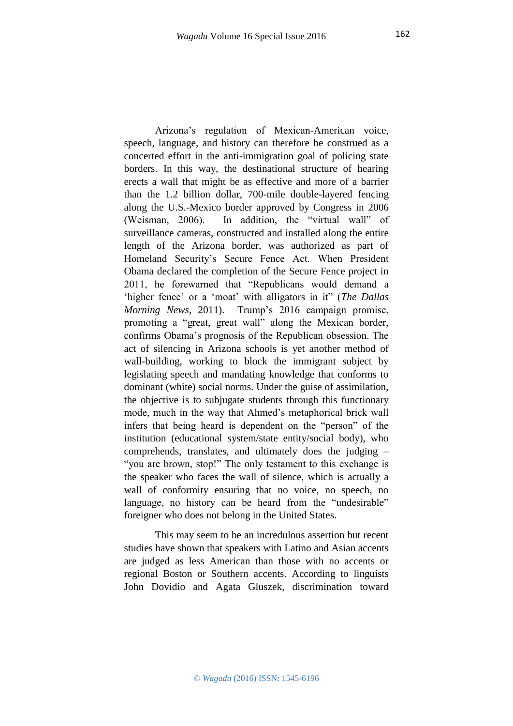Arizona's regulation of Mexican-American voice, speech, language, and history can therefore be construed as a concerted effort in the anti-immigration goal of policing state borders. In this way, the destinational structure of hearing erects a wall that might be as effective and more of a barrier than the 1.2 billion dollar, 700-mile double-layered fencing along the U.S.-Mexico border approved by Congress in 2006 (Weisman, 2006). In addition, the "virtual wall" of surveillance cameras, constructed and installed along the entire length of the Arizona border, was authorized as part of Homeland Security's Secure Fence Act. When President Obama declared the completion of the Secure Fence project in 2011, he forewarned that "Republicans would demand a 'higher fence' or a 'moat' with alligators in it" (*The Dallas Morning News*, 2011). Trump's 2016 campaign promise, promoting a "great, great wall" along the Mexican border, confirms Obama's prognosis of the Republican obsession. The act of silencing in Arizona schools is yet another method of wall-building, working to block the immigrant subject by legislating speech and mandating knowledge that conforms to dominant (white) social norms. Under the guise of assimilation, the objective is to subjugate students through this functionary mode, much in the way that Ahmed's metaphorical brick wall infers that being heard is dependent on the "person" of the institution (educational system/state entity/social body), who comprehends, translates, and ultimately does the judging – "you are brown, stop!" The only testament to this exchange is the speaker who faces the wall of silence, which is actually a wall of conformity ensuring that no voice, no speech, no language, no history can be heard from the "undesirable" foreigner who does not belong in the United States.

This may seem to be an incredulous assertion but recent studies have shown that speakers with Latino and Asian accents are judged as less American than those with no accents or regional Boston or Southern accents. According to linguists John Dovidio and Agata Gluszek, discrimination toward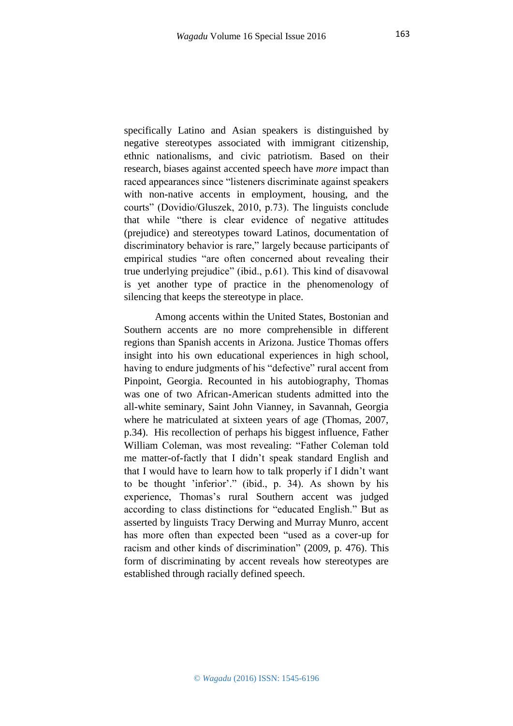specifically Latino and Asian speakers is distinguished by negative stereotypes associated with immigrant citizenship, ethnic nationalisms, and civic patriotism. Based on their research, biases against accented speech have *more* impact than raced appearances since "listeners discriminate against speakers with non-native accents in employment, housing, and the courts" (Dovidio/Gluszek, 2010, p.73). The linguists conclude that while "there is clear evidence of negative attitudes (prejudice) and stereotypes toward Latinos, documentation of discriminatory behavior is rare," largely because participants of empirical studies "are often concerned about revealing their true underlying prejudice" (ibid., p.61). This kind of disavowal is yet another type of practice in the phenomenology of silencing that keeps the stereotype in place.

Among accents within the United States, Bostonian and Southern accents are no more comprehensible in different regions than Spanish accents in Arizona. Justice Thomas offers insight into his own educational experiences in high school, having to endure judgments of his "defective" rural accent from Pinpoint, Georgia. Recounted in his autobiography, Thomas was one of two African-American students admitted into the all-white seminary, Saint John Vianney, in Savannah, Georgia where he matriculated at sixteen years of age (Thomas, 2007, p.34). His recollection of perhaps his biggest influence, Father William Coleman, was most revealing: "Father Coleman told me matter-of-factly that I didn't speak standard English and that I would have to learn how to talk properly if I didn't want to be thought 'inferior'." (ibid., p. 34). As shown by his experience, Thomas's rural Southern accent was judged according to class distinctions for "educated English." But as asserted by linguists Tracy Derwing and Murray Munro, accent has more often than expected been "used as a cover-up for racism and other kinds of discrimination" (2009, p. 476). This form of discriminating by accent reveals how stereotypes are established through racially defined speech.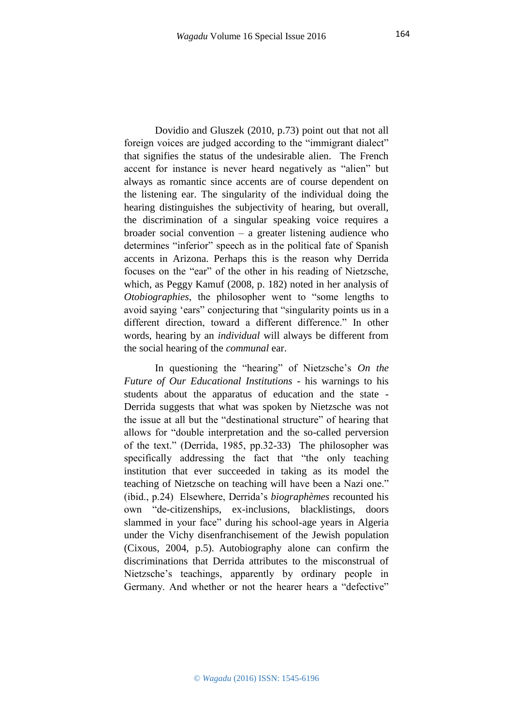Dovidio and Gluszek (2010, p.73) point out that not all foreign voices are judged according to the "immigrant dialect" that signifies the status of the undesirable alien. The French accent for instance is never heard negatively as "alien" but always as romantic since accents are of course dependent on the listening ear. The singularity of the individual doing the hearing distinguishes the subjectivity of hearing, but overall, the discrimination of a singular speaking voice requires a broader social convention  $-$  a greater listening audience who determines "inferior" speech as in the political fate of Spanish accents in Arizona. Perhaps this is the reason why Derrida focuses on the "ear" of the other in his reading of Nietzsche, which, as Peggy Kamuf (2008, p. 182) noted in her analysis of *Otobiographies*, the philosopher went to "some lengths to avoid saying 'ears" conjecturing that "singularity points us in a different direction, toward a different difference." In other words, hearing by an *individual* will always be different from the social hearing of the *communal* ear.

In questioning the "hearing" of Nietzsche's *On the Future of Our Educational Institutions* - his warnings to his students about the apparatus of education and the state - Derrida suggests that what was spoken by Nietzsche was not the issue at all but the "destinational structure" of hearing that allows for "double interpretation and the so-called perversion of the text." (Derrida, 1985, pp.32-33) The philosopher was specifically addressing the fact that "the only teaching institution that ever succeeded in taking as its model the teaching of Nietzsche on teaching will have been a Nazi one." (ibid., p.24) Elsewhere, Derrida's *biographèmes* recounted his own "de-citizenships, ex-inclusions, blacklistings, doors slammed in your face" during his school-age years in Algeria under the Vichy disenfranchisement of the Jewish population (Cixous, 2004, p.5). Autobiography alone can confirm the discriminations that Derrida attributes to the misconstrual of Nietzsche's teachings, apparently by ordinary people in Germany. And whether or not the hearer hears a "defective"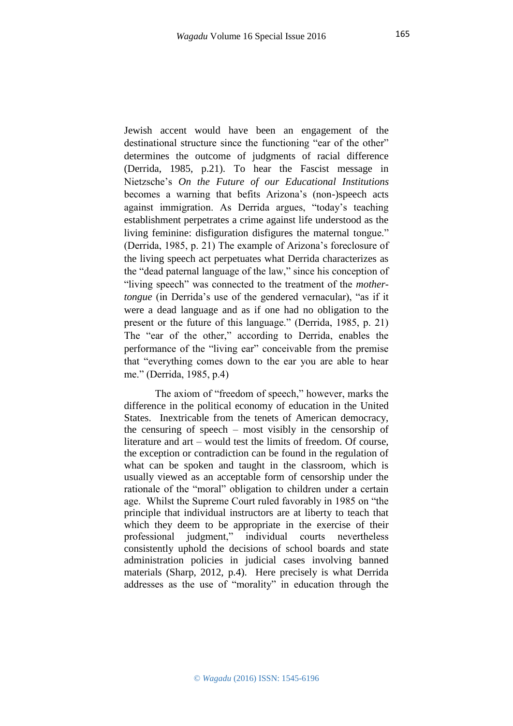Jewish accent would have been an engagement of the destinational structure since the functioning "ear of the other" determines the outcome of judgments of racial difference (Derrida, 1985, p.21). To hear the Fascist message in Nietzsche's *On the Future of our Educational Institutions*  becomes a warning that befits Arizona's (non-)speech acts against immigration. As Derrida argues, "today's teaching establishment perpetrates a crime against life understood as the living feminine: disfiguration disfigures the maternal tongue." (Derrida, 1985, p. 21) The example of Arizona's foreclosure of the living speech act perpetuates what Derrida characterizes as the "dead paternal language of the law," since his conception of "living speech" was connected to the treatment of the *mothertongue* (in Derrida's use of the gendered vernacular), "as if it were a dead language and as if one had no obligation to the present or the future of this language." (Derrida, 1985, p. 21) The "ear of the other," according to Derrida, enables the performance of the "living ear" conceivable from the premise that "everything comes down to the ear you are able to hear me." (Derrida, 1985, p.4)

The axiom of "freedom of speech," however, marks the difference in the political economy of education in the United States. Inextricable from the tenets of American democracy, the censuring of speech – most visibly in the censorship of literature and art – would test the limits of freedom. Of course, the exception or contradiction can be found in the regulation of what can be spoken and taught in the classroom, which is usually viewed as an acceptable form of censorship under the rationale of the "moral" obligation to children under a certain age. Whilst the Supreme Court ruled favorably in 1985 on "the principle that individual instructors are at liberty to teach that which they deem to be appropriate in the exercise of their professional judgment," individual courts nevertheless consistently uphold the decisions of school boards and state administration policies in judicial cases involving banned materials (Sharp, 2012, p.4). Here precisely is what Derrida addresses as the use of "morality" in education through the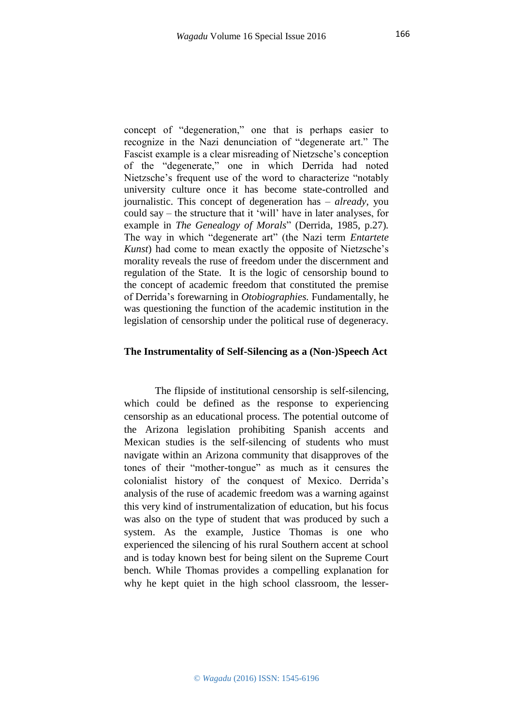concept of "degeneration," one that is perhaps easier to recognize in the Nazi denunciation of "degenerate art." The Fascist example is a clear misreading of Nietzsche's conception of the "degenerate," one in which Derrida had noted Nietzsche's frequent use of the word to characterize "notably university culture once it has become state-controlled and journalistic. This concept of degeneration has – *already*, you could say – the structure that it 'will' have in later analyses, for example in *The Genealogy of Morals*" (Derrida, 1985, p.27)*.*  The way in which "degenerate art" (the Nazi term *Entartete Kunst*) had come to mean exactly the opposite of Nietzsche's morality reveals the ruse of freedom under the discernment and regulation of the State. It is the logic of censorship bound to the concept of academic freedom that constituted the premise of Derrida's forewarning in *Otobiographies.* Fundamentally, he was questioning the function of the academic institution in the legislation of censorship under the political ruse of degeneracy.

### **The Instrumentality of Self-Silencing as a (Non-)Speech Act**

The flipside of institutional censorship is self-silencing, which could be defined as the response to experiencing censorship as an educational process. The potential outcome of the Arizona legislation prohibiting Spanish accents and Mexican studies is the self-silencing of students who must navigate within an Arizona community that disapproves of the tones of their "mother-tongue" as much as it censures the colonialist history of the conquest of Mexico. Derrida's analysis of the ruse of academic freedom was a warning against this very kind of instrumentalization of education, but his focus was also on the type of student that was produced by such a system. As the example, Justice Thomas is one who experienced the silencing of his rural Southern accent at school and is today known best for being silent on the Supreme Court bench. While Thomas provides a compelling explanation for why he kept quiet in the high school classroom, the lesser-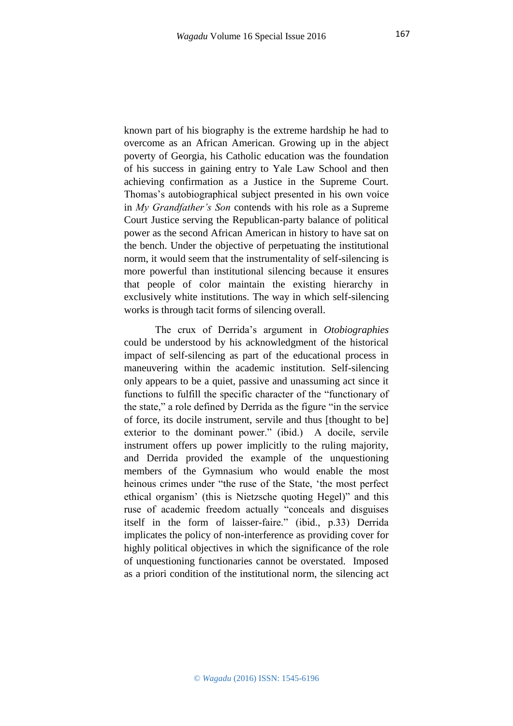known part of his biography is the extreme hardship he had to overcome as an African American. Growing up in the abject poverty of Georgia, his Catholic education was the foundation of his success in gaining entry to Yale Law School and then achieving confirmation as a Justice in the Supreme Court. Thomas's autobiographical subject presented in his own voice in *My Grandfather's Son* contends with his role as a Supreme Court Justice serving the Republican-party balance of political power as the second African American in history to have sat on the bench. Under the objective of perpetuating the institutional norm, it would seem that the instrumentality of self-silencing is more powerful than institutional silencing because it ensures that people of color maintain the existing hierarchy in exclusively white institutions. The way in which self-silencing works is through tacit forms of silencing overall.

The crux of Derrida's argument in *Otobiographies*  could be understood by his acknowledgment of the historical impact of self-silencing as part of the educational process in maneuvering within the academic institution. Self-silencing only appears to be a quiet, passive and unassuming act since it functions to fulfill the specific character of the "functionary of the state," a role defined by Derrida as the figure "in the service of force, its docile instrument, servile and thus [thought to be] exterior to the dominant power." (ibid.) A docile, servile instrument offers up power implicitly to the ruling majority, and Derrida provided the example of the unquestioning members of the Gymnasium who would enable the most heinous crimes under "the ruse of the State, 'the most perfect ethical organism' (this is Nietzsche quoting Hegel)" and this ruse of academic freedom actually "conceals and disguises itself in the form of laisser-faire." (ibid., p.33) Derrida implicates the policy of non-interference as providing cover for highly political objectives in which the significance of the role of unquestioning functionaries cannot be overstated. Imposed as a priori condition of the institutional norm, the silencing act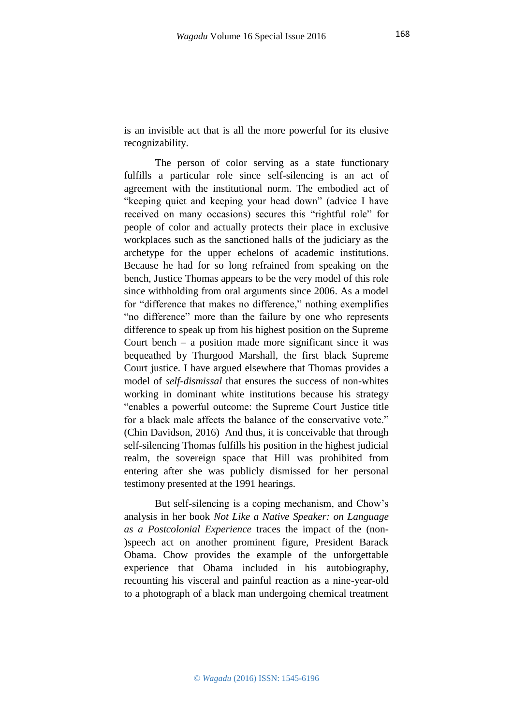is an invisible act that is all the more powerful for its elusive recognizability.

The person of color serving as a state functionary fulfills a particular role since self-silencing is an act of agreement with the institutional norm. The embodied act of "keeping quiet and keeping your head down" (advice I have received on many occasions) secures this "rightful role" for people of color and actually protects their place in exclusive workplaces such as the sanctioned halls of the judiciary as the archetype for the upper echelons of academic institutions. Because he had for so long refrained from speaking on the bench, Justice Thomas appears to be the very model of this role since withholding from oral arguments since 2006. As a model for "difference that makes no difference," nothing exemplifies "no difference" more than the failure by one who represents difference to speak up from his highest position on the Supreme Court bench – a position made more significant since it was bequeathed by Thurgood Marshall, the first black Supreme Court justice. I have argued elsewhere that Thomas provides a model of *self-dismissal* that ensures the success of non-whites working in dominant white institutions because his strategy "enables a powerful outcome: the Supreme Court Justice title for a black male affects the balance of the conservative vote." (Chin Davidson, 2016) And thus, it is conceivable that through self-silencing Thomas fulfills his position in the highest judicial realm, the sovereign space that Hill was prohibited from entering after she was publicly dismissed for her personal testimony presented at the 1991 hearings.

But self-silencing is a coping mechanism, and Chow's analysis in her book *Not Like a Native Speaker: on Language as a Postcolonial Experience* traces the impact of the (non- )speech act on another prominent figure, President Barack Obama. Chow provides the example of the unforgettable experience that Obama included in his autobiography, recounting his visceral and painful reaction as a nine-year-old to a photograph of a black man undergoing chemical treatment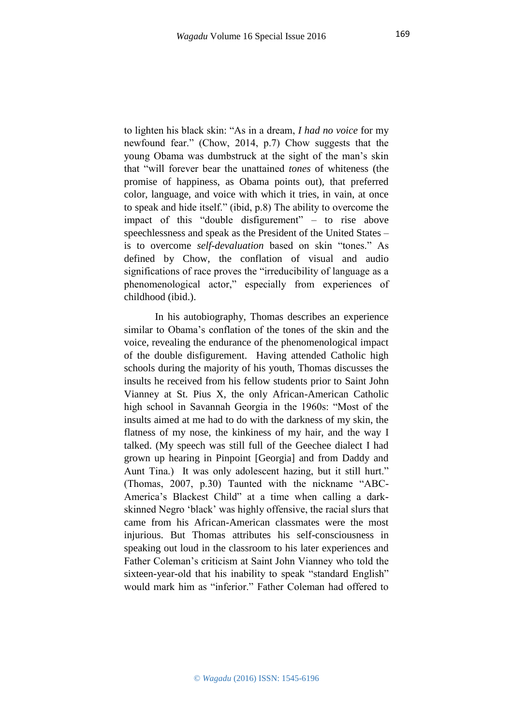to lighten his black skin: "As in a dream, *I had no voice* for my newfound fear." (Chow, 2014, p.7) Chow suggests that the young Obama was dumbstruck at the sight of the man's skin that "will forever bear the unattained *tones* of whiteness (the promise of happiness, as Obama points out), that preferred color, language, and voice with which it tries, in vain, at once to speak and hide itself." (ibid, p.8) The ability to overcome the impact of this "double disfigurement" – to rise above speechlessness and speak as the President of the United States – is to overcome *self-devaluation* based on skin "tones." As defined by Chow, the conflation of visual and audio significations of race proves the "irreducibility of language as a phenomenological actor," especially from experiences of childhood (ibid.).

In his autobiography, Thomas describes an experience similar to Obama's conflation of the tones of the skin and the voice, revealing the endurance of the phenomenological impact of the double disfigurement. Having attended Catholic high schools during the majority of his youth, Thomas discusses the insults he received from his fellow students prior to Saint John Vianney at St. Pius X, the only African-American Catholic high school in Savannah Georgia in the 1960s: "Most of the insults aimed at me had to do with the darkness of my skin, the flatness of my nose, the kinkiness of my hair, and the way I talked. (My speech was still full of the Geechee dialect I had grown up hearing in Pinpoint [Georgia] and from Daddy and Aunt Tina.) It was only adolescent hazing, but it still hurt." (Thomas, 2007, p.30) Taunted with the nickname "ABC-America's Blackest Child" at a time when calling a darkskinned Negro 'black' was highly offensive, the racial slurs that came from his African-American classmates were the most injurious. But Thomas attributes his self-consciousness in speaking out loud in the classroom to his later experiences and Father Coleman's criticism at Saint John Vianney who told the sixteen-year-old that his inability to speak "standard English" would mark him as "inferior." Father Coleman had offered to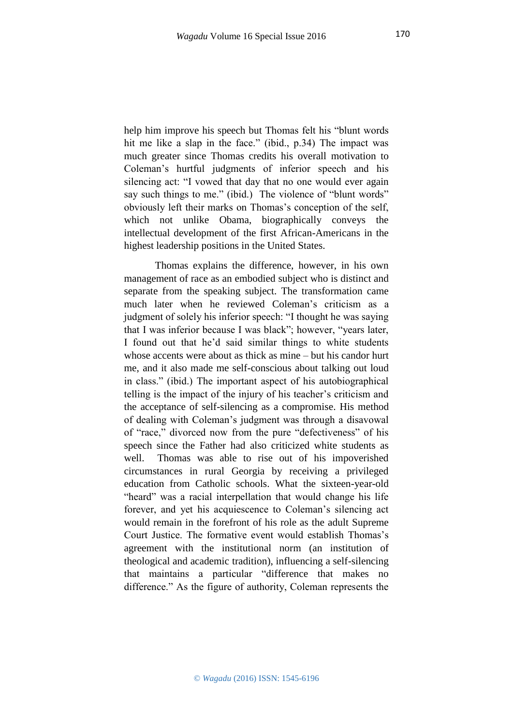help him improve his speech but Thomas felt his "blunt words hit me like a slap in the face." (ibid., p.34) The impact was much greater since Thomas credits his overall motivation to Coleman's hurtful judgments of inferior speech and his silencing act: "I vowed that day that no one would ever again say such things to me." (ibid.) The violence of "blunt words" obviously left their marks on Thomas's conception of the self, which not unlike Obama, biographically conveys the intellectual development of the first African-Americans in the highest leadership positions in the United States.

Thomas explains the difference, however, in his own management of race as an embodied subject who is distinct and separate from the speaking subject. The transformation came much later when he reviewed Coleman's criticism as a judgment of solely his inferior speech: "I thought he was saying that I was inferior because I was black"; however, "years later, I found out that he'd said similar things to white students whose accents were about as thick as mine – but his candor hurt me, and it also made me self-conscious about talking out loud in class." (ibid.) The important aspect of his autobiographical telling is the impact of the injury of his teacher's criticism and the acceptance of self-silencing as a compromise. His method of dealing with Coleman's judgment was through a disavowal of "race," divorced now from the pure "defectiveness" of his speech since the Father had also criticized white students as well. Thomas was able to rise out of his impoverished circumstances in rural Georgia by receiving a privileged education from Catholic schools. What the sixteen-year-old "heard" was a racial interpellation that would change his life forever, and yet his acquiescence to Coleman's silencing act would remain in the forefront of his role as the adult Supreme Court Justice. The formative event would establish Thomas's agreement with the institutional norm (an institution of theological and academic tradition), influencing a self-silencing that maintains a particular "difference that makes no difference." As the figure of authority, Coleman represents the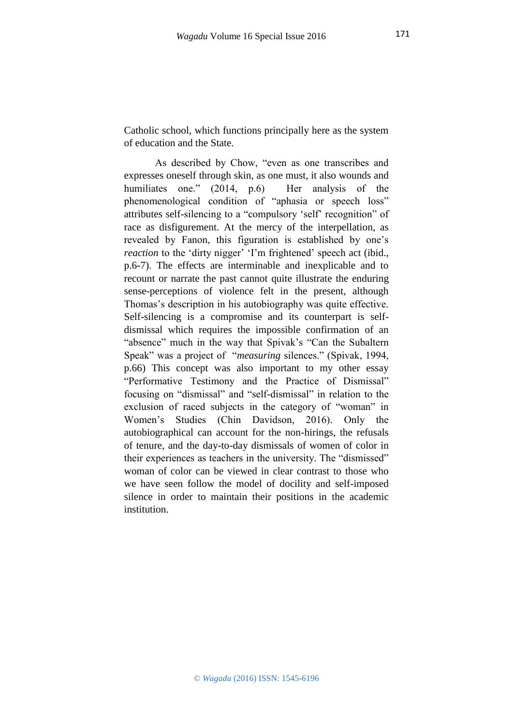Catholic school, which functions principally here as the system of education and the State.

As described by Chow, "even as one transcribes and expresses oneself through skin, as one must, it also wounds and humiliates one." (2014, p.6) Her analysis of the phenomenological condition of "aphasia or speech loss" attributes self-silencing to a "compulsory 'self' recognition" of race as disfigurement. At the mercy of the interpellation, as revealed by Fanon, this figuration is established by one's *reaction* to the 'dirty nigger' 'I'm frightened' speech act (ibid., p.6-7). The effects are interminable and inexplicable and to recount or narrate the past cannot quite illustrate the enduring sense-perceptions of violence felt in the present, although Thomas's description in his autobiography was quite effective. Self-silencing is a compromise and its counterpart is selfdismissal which requires the impossible confirmation of an "absence" much in the way that Spivak's "Can the Subaltern Speak" was a project of "*measuring* silences." (Spivak, 1994, p.66) This concept was also important to my other essay "Performative Testimony and the Practice of Dismissal" focusing on "dismissal" and "self-dismissal" in relation to the exclusion of raced subjects in the category of "woman" in Women's Studies (Chin Davidson, 2016). Only the autobiographical can account for the non-hirings, the refusals of tenure, and the day-to-day dismissals of women of color in their experiences as teachers in the university. The "dismissed" woman of color can be viewed in clear contrast to those who we have seen follow the model of docility and self-imposed silence in order to maintain their positions in the academic institution.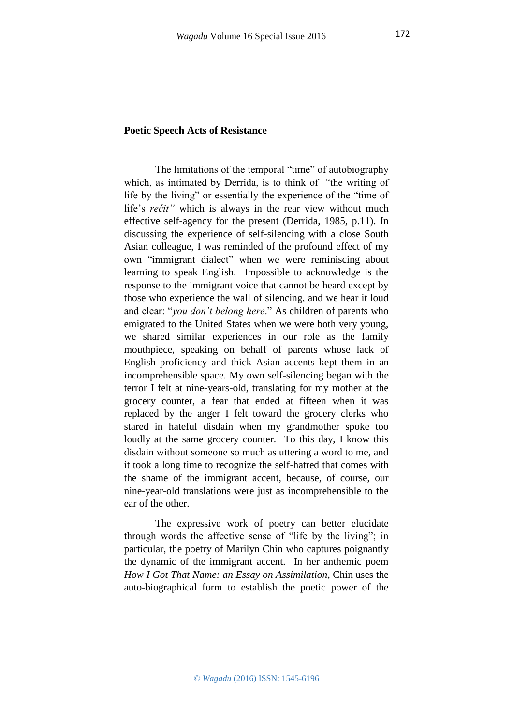### **Poetic Speech Acts of Resistance**

The limitations of the temporal "time" of autobiography which, as intimated by Derrida, is to think of "the writing of life by the living" or essentially the experience of the "time of life's *rećit"* which is always in the rear view without much effective self-agency for the present (Derrida, 1985, p.11). In discussing the experience of self-silencing with a close South Asian colleague, I was reminded of the profound effect of my own "immigrant dialect" when we were reminiscing about learning to speak English. Impossible to acknowledge is the response to the immigrant voice that cannot be heard except by those who experience the wall of silencing, and we hear it loud and clear: "*you don't belong here*." As children of parents who emigrated to the United States when we were both very young, we shared similar experiences in our role as the family mouthpiece, speaking on behalf of parents whose lack of English proficiency and thick Asian accents kept them in an incomprehensible space. My own self-silencing began with the terror I felt at nine-years-old, translating for my mother at the grocery counter, a fear that ended at fifteen when it was replaced by the anger I felt toward the grocery clerks who stared in hateful disdain when my grandmother spoke too loudly at the same grocery counter. To this day, I know this disdain without someone so much as uttering a word to me, and it took a long time to recognize the self-hatred that comes with the shame of the immigrant accent, because, of course, our nine-year-old translations were just as incomprehensible to the ear of the other.

The expressive work of poetry can better elucidate through words the affective sense of "life by the living"; in particular, the poetry of Marilyn Chin who captures poignantly the dynamic of the immigrant accent. In her anthemic poem *How I Got That Name: an Essay on Assimilation,* Chin uses the auto-biographical form to establish the poetic power of the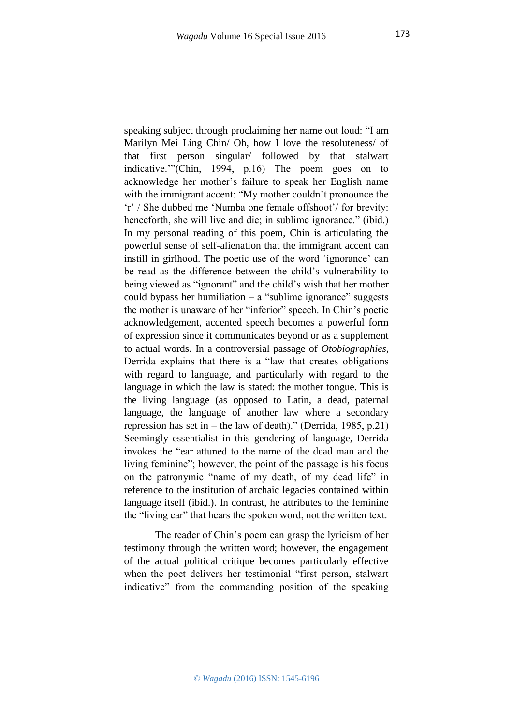speaking subject through proclaiming her name out loud: "I am Marilyn Mei Ling Chin/ Oh, how I love the resoluteness/ of that first person singular/ followed by that stalwart indicative.'"(Chin, 1994, p.16) The poem goes on to acknowledge her mother's failure to speak her English name with the immigrant accent: "My mother couldn't pronounce the 'r' / She dubbed me 'Numba one female offshoot'/ for brevity: henceforth, she will live and die; in sublime ignorance." (ibid.) In my personal reading of this poem, Chin is articulating the powerful sense of self-alienation that the immigrant accent can instill in girlhood. The poetic use of the word 'ignorance' can be read as the difference between the child's vulnerability to being viewed as "ignorant" and the child's wish that her mother could bypass her humiliation  $-$  a "sublime ignorance" suggests the mother is unaware of her "inferior" speech. In Chin's poetic acknowledgement, accented speech becomes a powerful form of expression since it communicates beyond or as a supplement to actual words. In a controversial passage of *Otobiographies,*  Derrida explains that there is a "law that creates obligations with regard to language, and particularly with regard to the language in which the law is stated: the mother tongue. This is the living language (as opposed to Latin, a dead, paternal language, the language of another law where a secondary repression has set in – the law of death)." (Derrida, 1985, p.21) Seemingly essentialist in this gendering of language, Derrida invokes the "ear attuned to the name of the dead man and the living feminine"; however, the point of the passage is his focus on the patronymic "name of my death, of my dead life" in reference to the institution of archaic legacies contained within language itself (ibid.). In contrast, he attributes to the feminine the "living ear" that hears the spoken word, not the written text.

The reader of Chin's poem can grasp the lyricism of her testimony through the written word; however, the engagement of the actual political critique becomes particularly effective when the poet delivers her testimonial "first person, stalwart indicative" from the commanding position of the speaking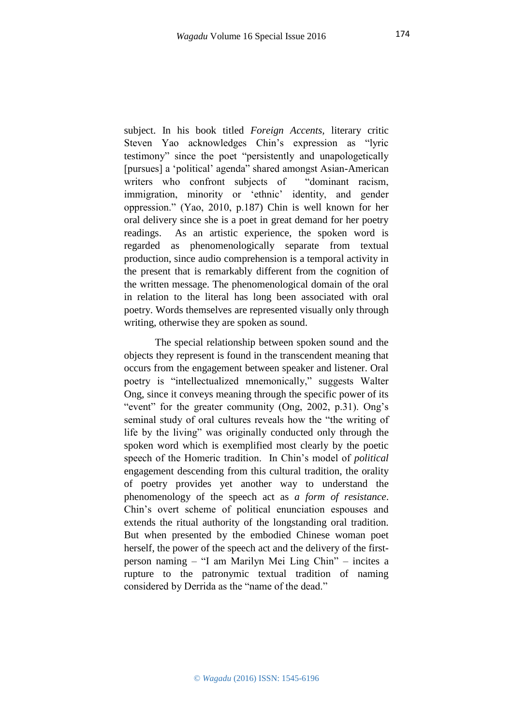subject. In his book titled *Foreign Accents,* literary critic Steven Yao acknowledges Chin's expression as "lyric testimony" since the poet "persistently and unapologetically [pursues] a 'political' agenda" shared amongst Asian-American writers who confront subjects of "dominant racism, immigration, minority or 'ethnic' identity, and gender oppression." (Yao, 2010, p.187) Chin is well known for her oral delivery since she is a poet in great demand for her poetry readings. As an artistic experience, the spoken word is regarded as phenomenologically separate from textual production, since audio comprehension is a temporal activity in the present that is remarkably different from the cognition of the written message. The phenomenological domain of the oral in relation to the literal has long been associated with oral poetry. Words themselves are represented visually only through writing, otherwise they are spoken as sound.

The special relationship between spoken sound and the objects they represent is found in the transcendent meaning that occurs from the engagement between speaker and listener. Oral poetry is "intellectualized mnemonically," suggests Walter Ong, since it conveys meaning through the specific power of its "event" for the greater community (Ong, 2002, p.31). Ong's seminal study of oral cultures reveals how the "the writing of life by the living" was originally conducted only through the spoken word which is exemplified most clearly by the poetic speech of the Homeric tradition. In Chin's model of *political* engagement descending from this cultural tradition, the orality of poetry provides yet another way to understand the phenomenology of the speech act as *a form of resistance*. Chin's overt scheme of political enunciation espouses and extends the ritual authority of the longstanding oral tradition. But when presented by the embodied Chinese woman poet herself, the power of the speech act and the delivery of the firstperson naming – "I am Marilyn Mei Ling Chin" – incites a rupture to the patronymic textual tradition of naming considered by Derrida as the "name of the dead."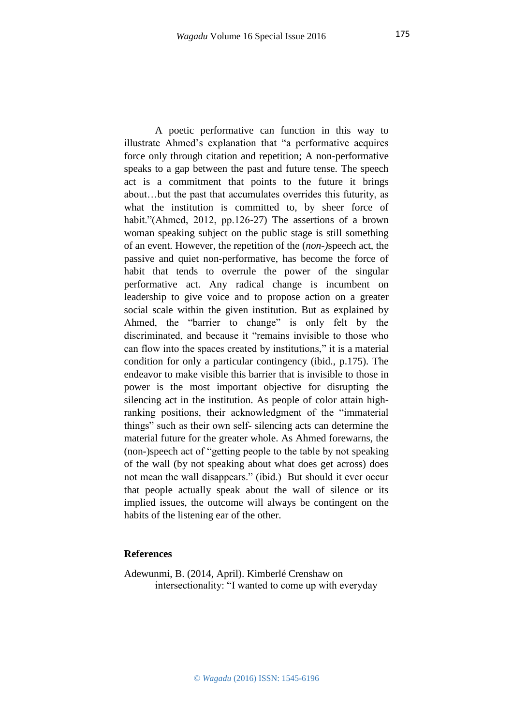A poetic performative can function in this way to illustrate Ahmed's explanation that "a performative acquires force only through citation and repetition; A non-performative speaks to a gap between the past and future tense. The speech act is a commitment that points to the future it brings about…but the past that accumulates overrides this futurity, as what the institution is committed to, by sheer force of habit."(Ahmed, 2012, pp.126-27) The assertions of a brown woman speaking subject on the public stage is still something of an event. However, the repetition of the (*non-)*speech act, the passive and quiet non-performative, has become the force of habit that tends to overrule the power of the singular performative act. Any radical change is incumbent on leadership to give voice and to propose action on a greater social scale within the given institution. But as explained by Ahmed, the "barrier to change" is only felt by the discriminated, and because it "remains invisible to those who can flow into the spaces created by institutions," it is a material condition for only a particular contingency (ibid., p.175). The endeavor to make visible this barrier that is invisible to those in power is the most important objective for disrupting the silencing act in the institution. As people of color attain highranking positions, their acknowledgment of the "immaterial things" such as their own self- silencing acts can determine the material future for the greater whole. As Ahmed forewarns, the (non-)speech act of "getting people to the table by not speaking of the wall (by not speaking about what does get across) does not mean the wall disappears." (ibid.) But should it ever occur that people actually speak about the wall of silence or its implied issues, the outcome will always be contingent on the habits of the listening ear of the other.

#### **References**

Adewunmi, B. (2014, April). Kimberlé Crenshaw on intersectionality: "I wanted to come up with everyday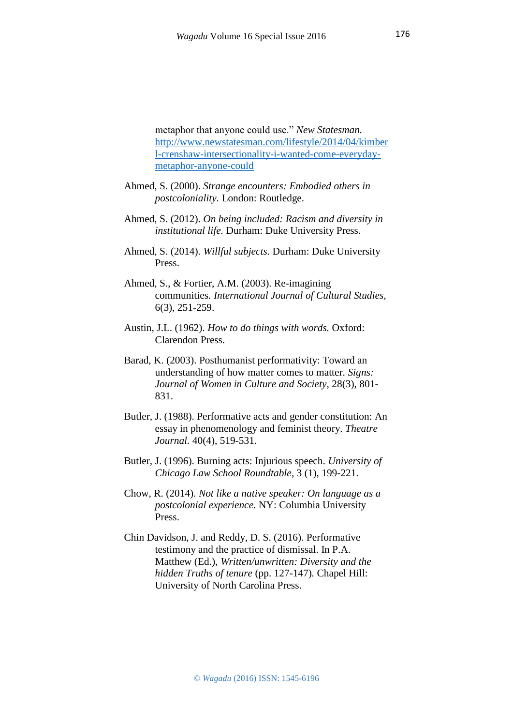metaphor that anyone could use." *New Statesman.*  [http://www.newstatesman.com/lifestyle/2014/04/kimber](http://www.newstatesman.com/lifestyle/2014/04/kimberl-crenshaw-intersectionality-i-wanted-come-everyday-metaphor-anyone-could) [l-crenshaw-intersectionality-i-wanted-come-everyday](http://www.newstatesman.com/lifestyle/2014/04/kimberl-crenshaw-intersectionality-i-wanted-come-everyday-metaphor-anyone-could)[metaphor-anyone-could](http://www.newstatesman.com/lifestyle/2014/04/kimberl-crenshaw-intersectionality-i-wanted-come-everyday-metaphor-anyone-could)

- Ahmed, S. (2000). *Strange encounters: Embodied others in postcoloniality.* London: Routledge.
- Ahmed, S. (2012). *On being included: Racism and diversity in institutional life.* Durham: Duke University Press.
- Ahmed, S. (2014). *Willful subjects.* Durham: Duke University Press.
- Ahmed, S., & Fortier, A.M. (2003). Re-imagining communities*. International Journal of Cultural Studies,*  6(3), 251-259.
- Austin, J.L. (1962). *How to do things with words.* Oxford: Clarendon Press.
- Barad, K. (2003). Posthumanist performativity: Toward an understanding of how matter comes to matter. *Signs: Journal of Women in Culture and Society,* 28(3), 801- 831.
- Butler, J. (1988). Performative acts and gender constitution: An essay in phenomenology and feminist theory. *Theatre Journal.* 40(4), 519-531.
- Butler, J. (1996). Burning acts: Injurious speech. *University of Chicago Law School Roundtable*, 3 (1), 199-221.
- Chow, R. (2014). *Not like a native speaker: On language as a postcolonial experience.* NY: Columbia University Press.
- Chin Davidson, J. and Reddy, D. S. (2016). Performative testimony and the practice of dismissal. In P.A. Matthew (Ed.), *Written/unwritten: Diversity and the hidden Truths of tenure* (pp. 127-147)*.* Chapel Hill: University of North Carolina Press.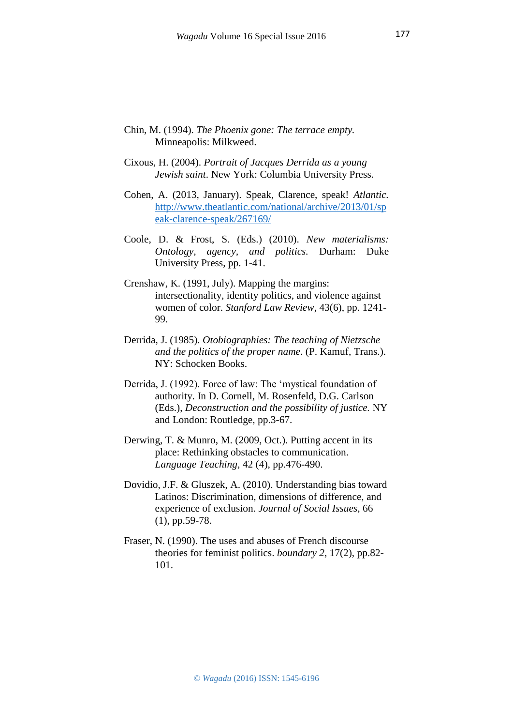- Chin, M. (1994). *The Phoenix gone: The terrace empty.*  Minneapolis: Milkweed.
- Cixous, H. (2004). *Portrait of Jacques Derrida as a young Jewish saint*. New York: Columbia University Press.
- Cohen, A. (2013, January). Speak, Clarence, speak! *Atlantic.*  [http://www.theatlantic.com/national/archive/2013/01/sp](http://www.theatlantic.com/national/archive/2013/01/speak-clarence-speak/267169/) [eak-clarence-speak/267169/](http://www.theatlantic.com/national/archive/2013/01/speak-clarence-speak/267169/)
- Coole, D. & Frost, S. (Eds.) (2010). *New materialisms: Ontology, agency, and politics.* Durham: Duke University Press, pp. 1-41.
- Crenshaw, K. (1991, July). Mapping the margins: intersectionality, identity politics, and violence against women of color. *Stanford Law Review*, 43(6), pp. 1241- 99.
- Derrida, J. (1985). *Otobiographies: The teaching of Nietzsche and the politics of the proper name*. (P. Kamuf, Trans.). NY: Schocken Books.
- Derrida, J. (1992). Force of law: The 'mystical foundation of authority. In D. Cornell, M. Rosenfeld, D.G. Carlson (Eds.), *Deconstruction and the possibility of justice.* NY and London: Routledge, pp.3-67.
- Derwing, T. & Munro, M. (2009, Oct.). Putting accent in its place: Rethinking obstacles to communication. *Language Teaching,* 42 (4), pp.476-490.
- Dovidio, J.F. & Gluszek, A. (2010). Understanding bias toward Latinos: Discrimination, dimensions of difference, and experience of exclusion. *Journal of Social Issues*, 66 (1), pp.59-78.
- Fraser, N. (1990). The uses and abuses of French discourse theories for feminist politics. *boundary 2*, 17(2), pp.82- 101.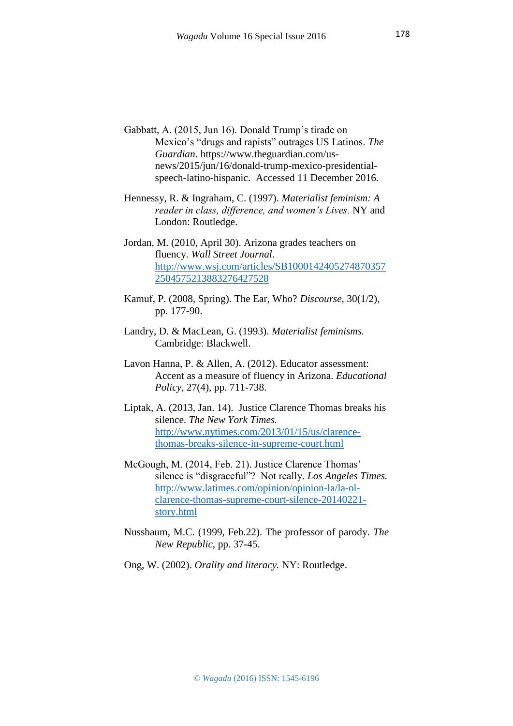- Gabbatt, A. (2015, Jun 16). Donald Trump's tirade on Mexico's "drugs and rapists" outrages US Latinos. *The Guardian*. [https://www.theguardian.com/us](https://www.theguardian.com/us-news/2015/jun/16/donald-trump-mexico-presidential-speech-latino-hispanic)[news/2015/jun/16/donald-trump-mexico-presidential](https://www.theguardian.com/us-news/2015/jun/16/donald-trump-mexico-presidential-speech-latino-hispanic)[speech-latino-hispanic.](https://www.theguardian.com/us-news/2015/jun/16/donald-trump-mexico-presidential-speech-latino-hispanic) Accessed 11 December 2016.
- Hennessy, R. & Ingraham, C. (1997). *Materialist feminism: A reader in class, difference, and women's Lives.* NY and London: Routledge.
- Jordan, M. (2010, April 30). Arizona grades teachers on fluency. *Wall Street Journal*. [http://www.wsj.com/articles/SB1000142405274870357](http://www.wsj.com/articles/SB10001424052748703572504575213883276427528) [2504575213883276427528](http://www.wsj.com/articles/SB10001424052748703572504575213883276427528)
- Kamuf, P. (2008, Spring). The Ear, Who? *Discourse,* 30(1/2), pp. 177-90.
- Landry, D. & MacLean, G. (1993). *Materialist feminisms.*  Cambridge: Blackwell.
- Lavon Hanna, P. & Allen, A. (2012). Educator assessment: Accent as a measure of fluency in Arizona. *Educational Policy,* 27(4), pp. 711-738.
- Liptak, A. (2013, Jan. 14). Justice Clarence Thomas breaks his silence. *The New York Times.* [http://www.nytimes.com/2013/01/15/us/clarence](http://www.nytimes.com/2013/01/15/us/clarence-thomas-breaks-silence-in-supreme-court.html)[thomas-breaks-silence-in-supreme-court.html](http://www.nytimes.com/2013/01/15/us/clarence-thomas-breaks-silence-in-supreme-court.html)
- McGough, M. (2014, Feb. 21). Justice Clarence Thomas' silence is "disgraceful"? Not really. *Los Angeles Times.*  [http://www.latimes.com/opinion/opinion-la/la-ol](http://www.latimes.com/opinion/opinion-la/la-ol-clarence-thomas-supreme-court-silence-20140221-story.html)[clarence-thomas-supreme-court-silence-20140221](http://www.latimes.com/opinion/opinion-la/la-ol-clarence-thomas-supreme-court-silence-20140221-story.html) [story.html](http://www.latimes.com/opinion/opinion-la/la-ol-clarence-thomas-supreme-court-silence-20140221-story.html)
- Nussbaum, M.C. (1999, Feb.22). The professor of parody. *The New Republic,* pp. 37-45.
- Ong, W. (2002). *Orality and literacy.* NY: Routledge.